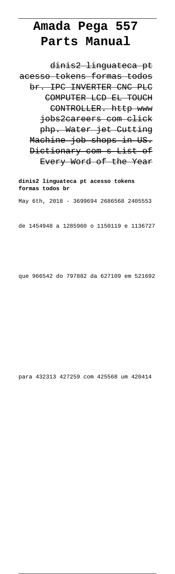## **Amada Pega 557 Parts Manual**

dinis2 linguateca pt acesso tokens formas todos br. IPC INVERTER CNC PLC COMPUTER LCD EL TOUCH CONTROLLER. http www jobs2careers com click php. Water jet Cutting Machine job shops in US. Dictionary com s List of Every Word of the Year

**dinis2 linguateca pt acesso tokens formas todos br** May 6th, 2018 - 3699694 2686568 2405553

de 1454948 a 1285960 o 1150119 e 1136727

que 966542 do 797882 da 627109 em 521692

para 432313 427259 com 425568 um 420414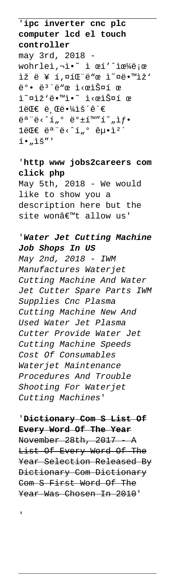'**ipc inverter cnc plc computer lcd el touch controller**

may 3rd, 2018 wohrleì, nì. ^ ì œí'^으ë;œ ìž ë ¥ í,¤íŒ"ë"œ ì~¤ë.™ìž' ë°• ë<sup>3</sup>´ë"œ ì<œìФí œ ì~¤ìž'ë.™ì.~ ì<œìФí œ  $1$ ë $\mathbb{C} \in$  ë  $\mathbb{C}$ ë  $\mathbb{Z}$ iš´ê´ $\in$  $\ddot{e}$ <sup>a</sup> " $\ddot{e}$ < ^1,,  $\circ$   $\ddot{e}$   $\circ$  +1m" $\acute{1}$  ,  $\ddot{1}$  ,  $\ddot{1}$  .  $1$ ë $E \in \mathbb{R}$ "ë< 'í, 'ê $\mu \cdot i$ '  $i \cdot u$ ìš"'

## '**http www jobs2careers com click php**

May 5th, 2018 - We would like to show you a description here but the site wonâ€<sup>™t</sup> allow us'

## '**Water Jet Cutting Machine Job Shops In US**

May 2nd, 2018 - IWM Manufactures Waterjet Cutting Machine And Water Jet Cutter Spare Parts IWM Supplies Cnc Plasma Cutting Machine New And Used Water Jet Plasma Cutter Provide Water Jet Cutting Machine Speeds Cost Of Consumables Waterjet Maintenance Procedures And Trouble Shooting For Waterjet Cutting Machines'

'**Dictionary Com S List Of Every Word Of The Year** November 28th, 2017 A List Of Every Word Of The Year Selection Released By Dictionary Com Dictionary Com S First Word Of The Year Was Chosen In 2010'

'